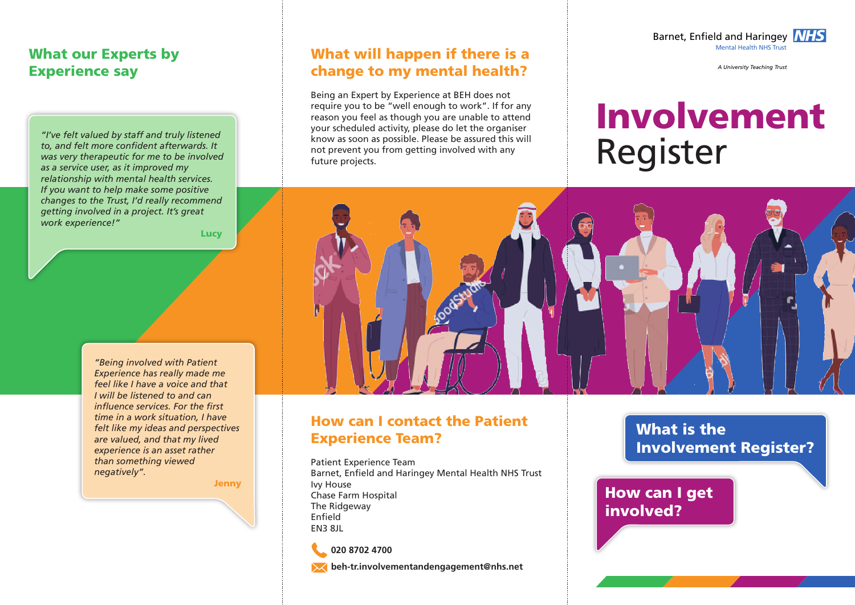#### What our Experts by Experience say

*"I've felt valued by staff and truly listened to, and felt more confident afterwards. It was very therapeutic for me to be involved as a service user, as it improved my relationship with mental health services. If you want to help make some positive changes to the Trust, I'd really recommend getting involved in a project. It's great work experience!"*

Lucy

*"Being involved with Patient Experience has really made me feel like I have a voice and that I will be listened to and can influence services. For the first time in a work situation, I have felt like my ideas and perspectives are valued, and that my lived experience is an asset rather than something viewed negatively".*

**Jenny** 

#### What will happen if there is a change to my mental health?

Being an Expert by Experience at BEH does not require you to be "well enough to work". If for any reason you feel as though you are unable to attend your scheduled activity, please do let the organiser know as soon as possible. Please be assured this will not prevent you from getting involved with any future projects.



*A University Teaching Trust*

# Register Involvement



#### How can I contact the Patient Experience Team?

Patient Experience Team Barnet, Enfield and Haringey Mental Health NHS Trust Ivy House Chase Farm Hospital The Ridgeway Enfield EN3 8JL

**020 8702 4700**

**beh-tr.involvementandengagement@nhs.net**

What is the Involvement Register?

How can I get involved?